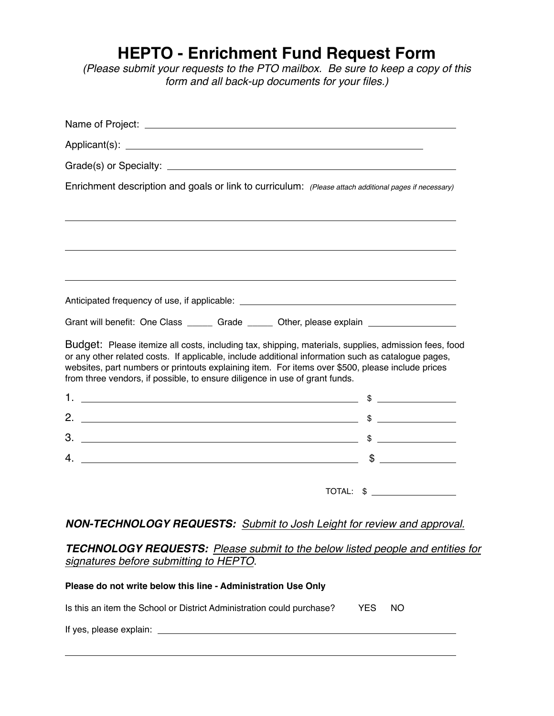## **HEPTO - Enrichment Fund Request Form**

*(Please submit your requests to the PTO mailbox. Be sure to keep a copy of this form and all back-up documents for your files.)*

| Enrichment description and goals or link to curriculum: (Please attach additional pages if necessary)                                                                                                                                                                                                                                                                                         |             |
|-----------------------------------------------------------------------------------------------------------------------------------------------------------------------------------------------------------------------------------------------------------------------------------------------------------------------------------------------------------------------------------------------|-------------|
|                                                                                                                                                                                                                                                                                                                                                                                               |             |
|                                                                                                                                                                                                                                                                                                                                                                                               |             |
|                                                                                                                                                                                                                                                                                                                                                                                               |             |
|                                                                                                                                                                                                                                                                                                                                                                                               |             |
|                                                                                                                                                                                                                                                                                                                                                                                               |             |
| Grant will benefit: One Class ______ Grade _____ Other, please explain ________________                                                                                                                                                                                                                                                                                                       |             |
| Budget: Please itemize all costs, including tax, shipping, materials, supplies, admission fees, food<br>or any other related costs. If applicable, include additional information such as catalogue pages,<br>websites, part numbers or printouts explaining item. For items over \$500, please include prices<br>from three vendors, if possible, to ensure diligence in use of grant funds. |             |
|                                                                                                                                                                                                                                                                                                                                                                                               |             |
|                                                                                                                                                                                                                                                                                                                                                                                               |             |
|                                                                                                                                                                                                                                                                                                                                                                                               |             |
|                                                                                                                                                                                                                                                                                                                                                                                               | $\mathsf S$ |
|                                                                                                                                                                                                                                                                                                                                                                                               | TOTAL: \$   |
| <b>NON-TECHNOLOGY REQUESTS:</b> Submit to Josh Leight for review and approval.                                                                                                                                                                                                                                                                                                                |             |

## *TECHNOLOGY REQUESTS: Please submit to the below listed people and entities for signatures before submitting to HEPTO*.

| Please do not write below this line - Administration Use Only         |            |     |  |
|-----------------------------------------------------------------------|------------|-----|--|
| Is this an item the School or District Administration could purchase? | <b>YES</b> | NO. |  |
| If yes, please explain: ________                                      |            |     |  |
|                                                                       |            |     |  |

!!!!!!!!!!!!